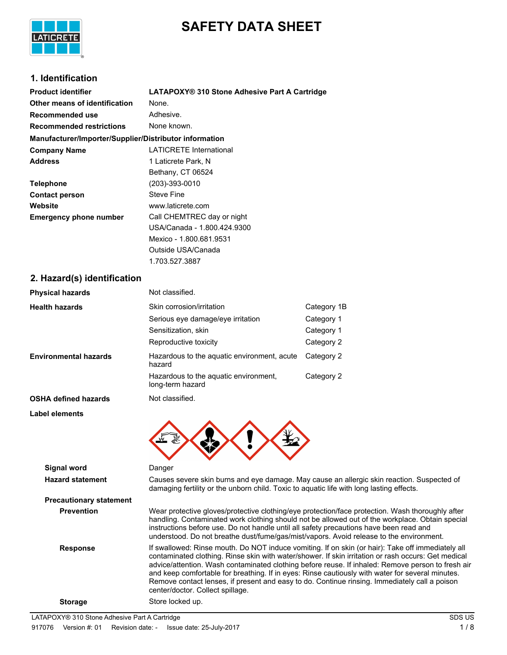

# **SAFETY DATA SHEET**

### **1. Identification**

| <b>Product identifier</b>                              | LATAPOXY® 310 Stone Adhesive Part A Cartridge |
|--------------------------------------------------------|-----------------------------------------------|
| Other means of identification                          | None.                                         |
| Recommended use                                        | Adhesive.                                     |
| <b>Recommended restrictions</b>                        | None known.                                   |
| Manufacturer/Importer/Supplier/Distributor information |                                               |
| <b>Company Name</b>                                    | <b>LATICRETE International</b>                |
| <b>Address</b>                                         | 1 Laticrete Park, N                           |
|                                                        | Bethany, CT 06524                             |
| <b>Telephone</b>                                       | (203)-393-0010                                |
| <b>Contact person</b>                                  | <b>Steve Fine</b>                             |
| Website                                                | www.laticrete.com                             |
| <b>Emergency phone number</b>                          | Call CHEMTREC day or night                    |
|                                                        | USA/Canada - 1.800.424.9300                   |
|                                                        | Mexico - 1.800.681.9531                       |
|                                                        | Outside USA/Canada                            |
|                                                        | 1.703.527.3887                                |

### **2. Hazard(s) identification**

| Physical hazards               | Not classified.                                                                                                                                                                   |                                                                                                                                                                                                     |
|--------------------------------|-----------------------------------------------------------------------------------------------------------------------------------------------------------------------------------|-----------------------------------------------------------------------------------------------------------------------------------------------------------------------------------------------------|
| Health hazards                 | Skin corrosion/irritation                                                                                                                                                         | Category 1B                                                                                                                                                                                         |
|                                | Serious eye damage/eye irritation                                                                                                                                                 | Category 1                                                                                                                                                                                          |
|                                | Sensitization, skin                                                                                                                                                               | Category 1                                                                                                                                                                                          |
|                                | Reproductive toxicity                                                                                                                                                             | Category 2                                                                                                                                                                                          |
| <b>Environmental hazards</b>   | Hazardous to the aquatic environment, acute<br>hazard                                                                                                                             | Category 2                                                                                                                                                                                          |
|                                | Hazardous to the aquatic environment,<br>long-term hazard                                                                                                                         | Category 2                                                                                                                                                                                          |
| OSHA defined hazards           | Not classified.                                                                                                                                                                   |                                                                                                                                                                                                     |
| <b>Label elements</b>          |                                                                                                                                                                                   |                                                                                                                                                                                                     |
| <b>Signal word</b>             | Danger                                                                                                                                                                            |                                                                                                                                                                                                     |
| <b>Hazard statement</b>        | damaging fertility or the unborn child. Toxic to aquatic life with long lasting effects.                                                                                          | Causes severe skin burns and eye damage. May cause an allergic skin reaction. Suspected of                                                                                                          |
| <b>Precautionary statement</b> |                                                                                                                                                                                   |                                                                                                                                                                                                     |
| <b>Prevention</b>              | instructions before use. Do not handle until all safety precautions have been read and<br>understood. Do not breathe dust/fume/gas/mist/vapors. Avoid release to the environment. | Wear protective gloves/protective clothing/eye protection/face protection. Wash thoroughly after<br>handling. Contaminated work clothing should not be allowed out of the workplace. Obtain special |

Response **If swallowed: Rinse mouth. Do NOT induce vomiting. If on skin (or hair): Take off immediately all** contaminated clothing. Rinse skin with water/shower. If skin irritation or rash occurs: Get medical advice/attention. Wash contaminated clothing before reuse. If inhaled: Remove person to fresh air and keep comfortable for breathing. If in eyes: Rinse cautiously with water for several minutes. Remove contact lenses, if present and easy to do. Continue rinsing. Immediately call a poison center/doctor. Collect spillage. **Storage** Store locked up.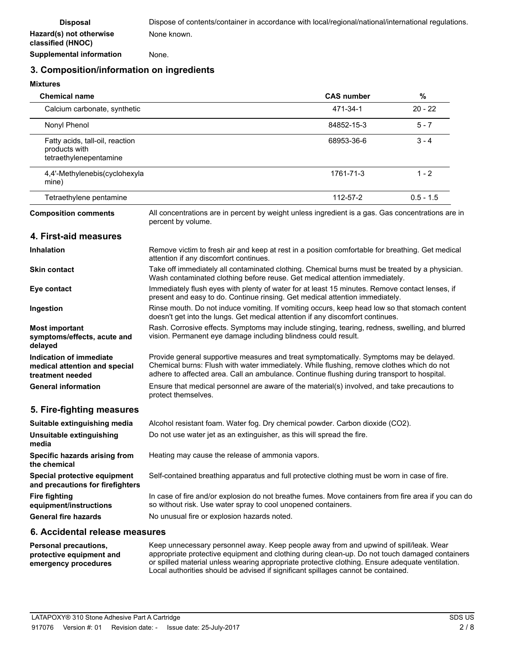**Supplemental information** None.

### **3. Composition/information on ingredients**

#### **Mixtures**

| <b>Chemical name</b>                                                         |                                                                                                                                                                                                                                                                                     | <b>CAS number</b> | $\%$        |
|------------------------------------------------------------------------------|-------------------------------------------------------------------------------------------------------------------------------------------------------------------------------------------------------------------------------------------------------------------------------------|-------------------|-------------|
| Calcium carbonate, synthetic                                                 |                                                                                                                                                                                                                                                                                     | 471-34-1          | $20 - 22$   |
| Nonyl Phenol                                                                 |                                                                                                                                                                                                                                                                                     | 84852-15-3        | $5 - 7$     |
| Fatty acids, tall-oil, reaction<br>products with<br>tetraethylenepentamine   |                                                                                                                                                                                                                                                                                     | 68953-36-6        | $3 - 4$     |
| 4,4'-Methylenebis(cyclohexyla<br>mine)                                       |                                                                                                                                                                                                                                                                                     | 1761-71-3         | $1 - 2$     |
| Tetraethylene pentamine                                                      |                                                                                                                                                                                                                                                                                     | 112-57-2          | $0.5 - 1.5$ |
| <b>Composition comments</b>                                                  | All concentrations are in percent by weight unless ingredient is a gas. Gas concentrations are in<br>percent by volume.                                                                                                                                                             |                   |             |
| 4. First-aid measures                                                        |                                                                                                                                                                                                                                                                                     |                   |             |
| <b>Inhalation</b>                                                            | Remove victim to fresh air and keep at rest in a position comfortable for breathing. Get medical<br>attention if any discomfort continues.                                                                                                                                          |                   |             |
| <b>Skin contact</b>                                                          | Take off immediately all contaminated clothing. Chemical burns must be treated by a physician.<br>Wash contaminated clothing before reuse. Get medical attention immediately.                                                                                                       |                   |             |
| Eye contact                                                                  | Immediately flush eyes with plenty of water for at least 15 minutes. Remove contact lenses, if<br>present and easy to do. Continue rinsing. Get medical attention immediately.                                                                                                      |                   |             |
| Ingestion                                                                    | Rinse mouth. Do not induce vomiting. If vomiting occurs, keep head low so that stomach content<br>doesn't get into the lungs. Get medical attention if any discomfort continues.                                                                                                    |                   |             |
| <b>Most important</b><br>symptoms/effects, acute and<br>delayed              | Rash. Corrosive effects. Symptoms may include stinging, tearing, redness, swelling, and blurred<br>vision. Permanent eye damage including blindness could result.                                                                                                                   |                   |             |
| Indication of immediate<br>medical attention and special<br>treatment needed | Provide general supportive measures and treat symptomatically. Symptoms may be delayed.<br>Chemical burns: Flush with water immediately. While flushing, remove clothes which do not<br>adhere to affected area. Call an ambulance. Continue flushing during transport to hospital. |                   |             |
| <b>General information</b>                                                   | Ensure that medical personnel are aware of the material(s) involved, and take precautions to<br>protect themselves.                                                                                                                                                                 |                   |             |
| 5. Fire-fighting measures                                                    |                                                                                                                                                                                                                                                                                     |                   |             |
| Suitable extinguishing media                                                 | Alcohol resistant foam. Water fog. Dry chemical powder. Carbon dioxide (CO2).                                                                                                                                                                                                       |                   |             |
| Unsuitable extinguishing<br>media                                            | Do not use water jet as an extinguisher, as this will spread the fire.                                                                                                                                                                                                              |                   |             |
| Specific hazards arising from<br>the chemical                                | Heating may cause the release of ammonia vapors.                                                                                                                                                                                                                                    |                   |             |
| Special protective equipment<br>and precautions for firefighters             | Self-contained breathing apparatus and full protective clothing must be worn in case of fire.                                                                                                                                                                                       |                   |             |
| <b>Fire fighting</b><br>equipment/instructions                               | In case of fire and/or explosion do not breathe fumes. Move containers from fire area if you can do<br>so without risk. Use water spray to cool unopened containers.                                                                                                                |                   |             |
| <b>General fire hazards</b>                                                  | No unusual fire or explosion hazards noted.                                                                                                                                                                                                                                         |                   |             |
|                                                                              |                                                                                                                                                                                                                                                                                     |                   |             |

### **6. Accidental release measures**

Keep unnecessary personnel away. Keep people away from and upwind of spill/leak. Wear appropriate protective equipment and clothing during clean-up. Do not touch damaged containers or spilled material unless wearing appropriate protective clothing. Ensure adequate ventilation. Local authorities should be advised if significant spillages cannot be contained. **Personal precautions, protective equipment and emergency procedures**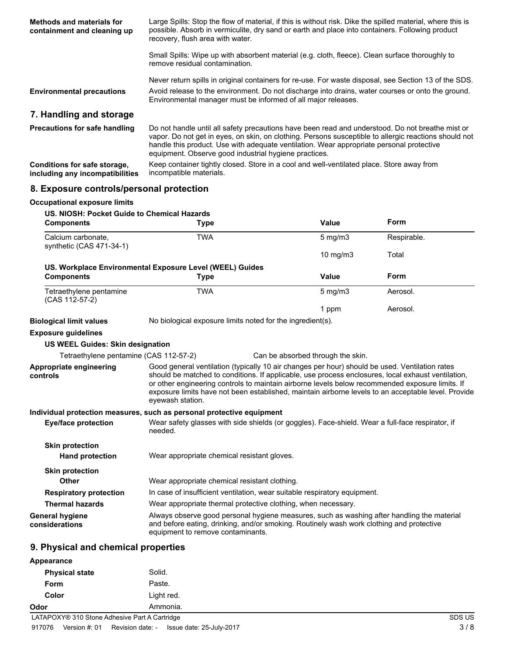| <b>Methods and materials for</b><br>containment and cleaning up | Large Spills: Stop the flow of material, if this is without risk. Dike the spilled material, where this is<br>possible. Absorb in vermiculite, dry sand or earth and place into containers. Following product<br>recovery, flush area with water.                                                                                                              |
|-----------------------------------------------------------------|----------------------------------------------------------------------------------------------------------------------------------------------------------------------------------------------------------------------------------------------------------------------------------------------------------------------------------------------------------------|
|                                                                 | Small Spills: Wipe up with absorbent material (e.g. cloth, fleece). Clean surface thoroughly to<br>remove residual contamination.                                                                                                                                                                                                                              |
|                                                                 | Never return spills in original containers for re-use. For waste disposal, see Section 13 of the SDS.                                                                                                                                                                                                                                                          |
| <b>Environmental precautions</b>                                | Avoid release to the environment. Do not discharge into drains, water courses or onto the ground.<br>Environmental manager must be informed of all major releases.                                                                                                                                                                                             |
| 7. Handling and storage                                         |                                                                                                                                                                                                                                                                                                                                                                |
| <b>Precautions for safe handling</b>                            | Do not handle until all safety precautions have been read and understood. Do not breathe mist or<br>vapor. Do not get in eyes, on skin, on clothing. Persons susceptible to allergic reactions should not<br>handle this product. Use with adequate ventilation. Wear appropriate personal protective<br>equipment. Observe good industrial hygiene practices. |
| Conditions for safe storage,<br>including any incompatibilities | Keep container tightly closed. Store in a cool and well-ventilated place. Store away from<br>incompatible materials.                                                                                                                                                                                                                                           |

# **8. Exposure controls/personal protection**

| <b>Occupational exposure limits</b>                              |                                                                                                                                                                                                                                                                                                                                                                                                                                    |                                   |             |
|------------------------------------------------------------------|------------------------------------------------------------------------------------------------------------------------------------------------------------------------------------------------------------------------------------------------------------------------------------------------------------------------------------------------------------------------------------------------------------------------------------|-----------------------------------|-------------|
| US. NIOSH: Pocket Guide to Chemical Hazards<br><b>Components</b> | <b>Type</b>                                                                                                                                                                                                                                                                                                                                                                                                                        | Value                             | <b>Form</b> |
| Calcium carbonate.<br>synthetic (CAS 471-34-1)                   | <b>TWA</b>                                                                                                                                                                                                                                                                                                                                                                                                                         | $5$ mg/m $3$                      | Respirable. |
|                                                                  |                                                                                                                                                                                                                                                                                                                                                                                                                                    | 10 mg/m3                          | Total       |
|                                                                  | US. Workplace Environmental Exposure Level (WEEL) Guides                                                                                                                                                                                                                                                                                                                                                                           |                                   |             |
| <b>Components</b>                                                | <b>Type</b>                                                                                                                                                                                                                                                                                                                                                                                                                        | Value                             | <b>Form</b> |
| Tetraethylene pentamine<br>(CAS 112-57-2)                        | <b>TWA</b>                                                                                                                                                                                                                                                                                                                                                                                                                         | $5$ mg/m $3$                      | Aerosol.    |
|                                                                  |                                                                                                                                                                                                                                                                                                                                                                                                                                    | 1 ppm                             | Aerosol.    |
| <b>Biological limit values</b>                                   | No biological exposure limits noted for the ingredient(s).                                                                                                                                                                                                                                                                                                                                                                         |                                   |             |
| <b>Exposure guidelines</b>                                       |                                                                                                                                                                                                                                                                                                                                                                                                                                    |                                   |             |
| <b>US WEEL Guides: Skin designation</b>                          |                                                                                                                                                                                                                                                                                                                                                                                                                                    |                                   |             |
| Tetraethylene pentamine (CAS 112-57-2)                           |                                                                                                                                                                                                                                                                                                                                                                                                                                    | Can be absorbed through the skin. |             |
| Appropriate engineering<br>controls                              | Good general ventilation (typically 10 air changes per hour) should be used. Ventilation rates<br>should be matched to conditions. If applicable, use process enclosures, local exhaust ventilation,<br>or other engineering controls to maintain airborne levels below recommended exposure limits. If<br>exposure limits have not been established, maintain airborne levels to an acceptable level. Provide<br>eyewash station. |                                   |             |
|                                                                  | Individual protection measures, such as personal protective equipment                                                                                                                                                                                                                                                                                                                                                              |                                   |             |
| <b>Eye/face protection</b>                                       | Wear safety glasses with side shields (or goggles). Face-shield. Wear a full-face respirator, if<br>needed.                                                                                                                                                                                                                                                                                                                        |                                   |             |
| <b>Skin protection</b><br><b>Hand protection</b>                 | Wear appropriate chemical resistant gloves.                                                                                                                                                                                                                                                                                                                                                                                        |                                   |             |
| <b>Skin protection</b>                                           |                                                                                                                                                                                                                                                                                                                                                                                                                                    |                                   |             |
| Other                                                            | Wear appropriate chemical resistant clothing.                                                                                                                                                                                                                                                                                                                                                                                      |                                   |             |
| <b>Respiratory protection</b>                                    | In case of insufficient ventilation, wear suitable respiratory equipment.                                                                                                                                                                                                                                                                                                                                                          |                                   |             |
| <b>Thermal hazards</b>                                           | Wear appropriate thermal protective clothing, when necessary.                                                                                                                                                                                                                                                                                                                                                                      |                                   |             |
| <b>General hygiene</b><br>considerations                         | Always observe good personal hygiene measures, such as washing after handling the material<br>and before eating, drinking, and/or smoking. Routinely wash work clothing and protective<br>equipment to remove contaminants.                                                                                                                                                                                                        |                                   |             |

# **9. Physical and chemical properties**

| Appearance            |            |          |
|-----------------------|------------|----------|
| <b>Physical state</b> | Solid.     |          |
| Form                  | Paste.     |          |
| Color                 | Light red. |          |
| Odor                  | Ammonia.   |          |
| $\sim$ $\sim$ $\sim$  | _ _ _ _ _  | $\cdots$ |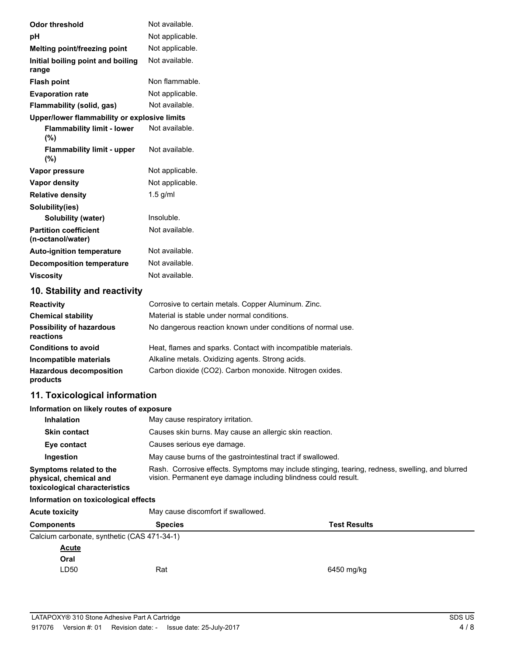| <b>Odor threshold</b>                             | Not available.  |
|---------------------------------------------------|-----------------|
| рH                                                | Not applicable. |
| Melting point/freezing point                      | Not applicable. |
| Initial boiling point and boiling<br>range        | Not available.  |
| <b>Flash point</b>                                | Non flammable.  |
| <b>Evaporation rate</b>                           | Not applicable. |
| Flammability (solid, gas)                         | Not available.  |
| Upper/lower flammability or explosive limits      |                 |
| <b>Flammability limit - lower</b><br>(%)          | Not available.  |
| <b>Flammability limit - upper</b><br>$(\%)$       | Not available.  |
| Vapor pressure                                    | Not applicable. |
| <b>Vapor density</b>                              | Not applicable. |
| <b>Relative density</b>                           | $1.5$ g/ml      |
| Solubility(ies)                                   |                 |
| <b>Solubility (water)</b>                         | Insoluble.      |
| <b>Partition coefficient</b><br>(n-octanol/water) | Not available.  |
| <b>Auto-ignition temperature</b>                  | Not available.  |
| <b>Decomposition temperature</b>                  | Not available.  |
| <b>Viscosity</b>                                  | Not available.  |
| 10. Stability and reactivity                      |                 |

| <b>Reactivity</b>                            | Corrosive to certain metals. Copper Aluminum. Zinc.           |
|----------------------------------------------|---------------------------------------------------------------|
| <b>Chemical stability</b>                    | Material is stable under normal conditions.                   |
| <b>Possibility of hazardous</b><br>reactions | No dangerous reaction known under conditions of normal use.   |
| <b>Conditions to avoid</b>                   | Heat, flames and sparks. Contact with incompatible materials. |
| Incompatible materials                       | Alkaline metals. Oxidizing agents. Strong acids.              |
| <b>Hazardous decomposition</b><br>products   | Carbon dioxide (CO2). Carbon monoxide. Nitrogen oxides.       |

# **11. Toxicological information**

### **Information on likely routes of exposure**

| <b>Inhalation</b>                                                                  | May cause respiratory irritation.                                                                                                                                 |
|------------------------------------------------------------------------------------|-------------------------------------------------------------------------------------------------------------------------------------------------------------------|
| <b>Skin contact</b>                                                                | Causes skin burns. May cause an allergic skin reaction.                                                                                                           |
| Eye contact                                                                        | Causes serious eye damage.                                                                                                                                        |
| Ingestion                                                                          | May cause burns of the gastrointestinal tract if swallowed.                                                                                                       |
| Symptoms related to the<br>physical, chemical and<br>toxicological characteristics | Rash. Corrosive effects. Symptoms may include stinging, tearing, redness, swelling, and blurred<br>vision. Permanent eye damage including blindness could result. |
| .                                                                                  |                                                                                                                                                                   |

### **Information on toxicological effects**

| <b>Acute toxicity</b>                       | May cause discomfort if swallowed.<br><b>Species</b><br><b>Test Results</b> |            |
|---------------------------------------------|-----------------------------------------------------------------------------|------------|
| <b>Components</b>                           |                                                                             |            |
| Calcium carbonate, synthetic (CAS 471-34-1) |                                                                             |            |
| <b>Acute</b>                                |                                                                             |            |
| Oral                                        |                                                                             |            |
| LD50                                        | Rat                                                                         | 6450 mg/kg |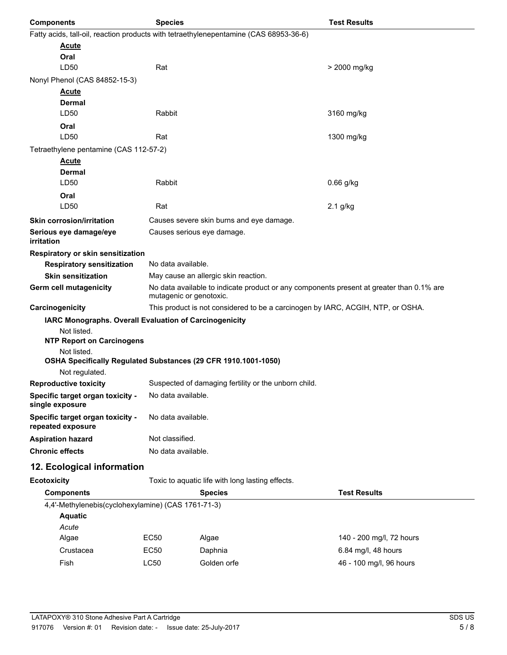| <b>Components</b>                                                             | <b>Species</b>                        |                                                                                                                     | <b>Test Results</b>      |  |  |
|-------------------------------------------------------------------------------|---------------------------------------|---------------------------------------------------------------------------------------------------------------------|--------------------------|--|--|
|                                                                               |                                       | Fatty acids, tall-oil, reaction products with tetraethylenepentamine (CAS 68953-36-6)                               |                          |  |  |
| <u>Acute</u>                                                                  |                                       |                                                                                                                     |                          |  |  |
| Oral                                                                          |                                       |                                                                                                                     |                          |  |  |
| LD50                                                                          | Rat                                   |                                                                                                                     | > 2000 mg/kg             |  |  |
| Nonyl Phenol (CAS 84852-15-3)                                                 |                                       |                                                                                                                     |                          |  |  |
| <b>Acute</b>                                                                  |                                       |                                                                                                                     |                          |  |  |
| Dermal                                                                        |                                       |                                                                                                                     |                          |  |  |
| LD <sub>50</sub>                                                              | Rabbit                                |                                                                                                                     | 3160 mg/kg               |  |  |
| Oral<br>LD50                                                                  | Rat                                   |                                                                                                                     |                          |  |  |
|                                                                               |                                       |                                                                                                                     | 1300 mg/kg               |  |  |
| Tetraethylene pentamine (CAS 112-57-2)                                        |                                       |                                                                                                                     |                          |  |  |
| Acute<br>Dermal                                                               |                                       |                                                                                                                     |                          |  |  |
| LD50                                                                          | Rabbit                                |                                                                                                                     | $0.66$ g/kg              |  |  |
| Oral                                                                          |                                       |                                                                                                                     |                          |  |  |
| LD50                                                                          | Rat                                   |                                                                                                                     | 2.1 g/kg                 |  |  |
| <b>Skin corrosion/irritation</b>                                              |                                       | Causes severe skin burns and eye damage.                                                                            |                          |  |  |
| Serious eye damage/eye                                                        |                                       | Causes serious eye damage.                                                                                          |                          |  |  |
| irritation                                                                    |                                       |                                                                                                                     |                          |  |  |
| Respiratory or skin sensitization                                             |                                       |                                                                                                                     |                          |  |  |
| <b>Respiratory sensitization</b>                                              |                                       | No data available.                                                                                                  |                          |  |  |
| <b>Skin sensitization</b>                                                     |                                       | May cause an allergic skin reaction.                                                                                |                          |  |  |
| Germ cell mutagenicity                                                        |                                       | No data available to indicate product or any components present at greater than 0.1% are<br>mutagenic or genotoxic. |                          |  |  |
| Carcinogenicity                                                               |                                       | This product is not considered to be a carcinogen by IARC, ACGIH, NTP, or OSHA.                                     |                          |  |  |
| IARC Monographs. Overall Evaluation of Carcinogenicity                        |                                       |                                                                                                                     |                          |  |  |
| Not listed.                                                                   |                                       |                                                                                                                     |                          |  |  |
| <b>NTP Report on Carcinogens</b>                                              |                                       |                                                                                                                     |                          |  |  |
| Not listed.<br>OSHA Specifically Regulated Substances (29 CFR 1910.1001-1050) |                                       |                                                                                                                     |                          |  |  |
| Not regulated.                                                                |                                       |                                                                                                                     |                          |  |  |
| <b>Reproductive toxicity</b>                                                  |                                       | Suspected of damaging fertility or the unborn child.                                                                |                          |  |  |
| Specific target organ toxicity -<br>single exposure                           | No data available.                    |                                                                                                                     |                          |  |  |
| Specific target organ toxicity -<br>repeated exposure                         | No data available.                    |                                                                                                                     |                          |  |  |
| <b>Aspiration hazard</b>                                                      | Not classified.                       |                                                                                                                     |                          |  |  |
| <b>Chronic effects</b>                                                        |                                       | No data available.                                                                                                  |                          |  |  |
| 12. Ecological information                                                    |                                       |                                                                                                                     |                          |  |  |
| <b>Ecotoxicity</b>                                                            |                                       | Toxic to aquatic life with long lasting effects.                                                                    |                          |  |  |
| <b>Components</b>                                                             | <b>Species</b><br><b>Test Results</b> |                                                                                                                     |                          |  |  |
| 4,4'-Methylenebis(cyclohexylamine) (CAS 1761-71-3)                            |                                       |                                                                                                                     |                          |  |  |
| <b>Aquatic</b>                                                                |                                       |                                                                                                                     |                          |  |  |
| Acute                                                                         |                                       |                                                                                                                     |                          |  |  |
| Algae                                                                         | EC50                                  | Algae                                                                                                               | 140 - 200 mg/l, 72 hours |  |  |
| Crustacea                                                                     | EC50                                  | Daphnia                                                                                                             | 6.84 mg/l, 48 hours      |  |  |
| Fish                                                                          | <b>LC50</b>                           | Golden orfe                                                                                                         | 46 - 100 mg/l, 96 hours  |  |  |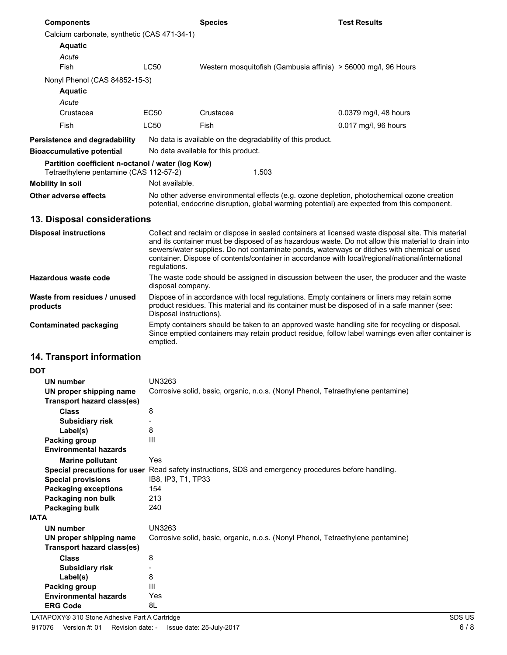| <b>Components</b>                                                                           |                                                                                                                                                                                                                                                                                                                                                                                                                              | <b>Species</b>                                                                                                    | <b>Test Results</b>   |  |
|---------------------------------------------------------------------------------------------|------------------------------------------------------------------------------------------------------------------------------------------------------------------------------------------------------------------------------------------------------------------------------------------------------------------------------------------------------------------------------------------------------------------------------|-------------------------------------------------------------------------------------------------------------------|-----------------------|--|
| Calcium carbonate, synthetic (CAS 471-34-1)                                                 |                                                                                                                                                                                                                                                                                                                                                                                                                              |                                                                                                                   |                       |  |
| <b>Aquatic</b>                                                                              |                                                                                                                                                                                                                                                                                                                                                                                                                              |                                                                                                                   |                       |  |
| Acute                                                                                       |                                                                                                                                                                                                                                                                                                                                                                                                                              |                                                                                                                   |                       |  |
| Fish                                                                                        | <b>LC50</b>                                                                                                                                                                                                                                                                                                                                                                                                                  | Western mosquitofish (Gambusia affinis) > 56000 mg/l, 96 Hours                                                    |                       |  |
| Nonyl Phenol (CAS 84852-15-3)                                                               |                                                                                                                                                                                                                                                                                                                                                                                                                              |                                                                                                                   |                       |  |
| <b>Aquatic</b>                                                                              |                                                                                                                                                                                                                                                                                                                                                                                                                              |                                                                                                                   |                       |  |
| Acute                                                                                       |                                                                                                                                                                                                                                                                                                                                                                                                                              |                                                                                                                   |                       |  |
| Crustacea                                                                                   | EC50                                                                                                                                                                                                                                                                                                                                                                                                                         | Crustacea                                                                                                         | 0.0379 mg/l, 48 hours |  |
| Fish                                                                                        | LC50                                                                                                                                                                                                                                                                                                                                                                                                                         | Fish                                                                                                              | 0.017 mg/l, 96 hours  |  |
| Persistence and degradability                                                               |                                                                                                                                                                                                                                                                                                                                                                                                                              | No data is available on the degradability of this product.                                                        |                       |  |
|                                                                                             |                                                                                                                                                                                                                                                                                                                                                                                                                              |                                                                                                                   |                       |  |
| <b>Bioaccumulative potential</b>                                                            |                                                                                                                                                                                                                                                                                                                                                                                                                              | No data available for this product.                                                                               |                       |  |
| Partition coefficient n-octanol / water (log Kow)<br>Tetraethylene pentamine (CAS 112-57-2) |                                                                                                                                                                                                                                                                                                                                                                                                                              | 1.503                                                                                                             |                       |  |
| <b>Mobility in soil</b>                                                                     | Not available.                                                                                                                                                                                                                                                                                                                                                                                                               |                                                                                                                   |                       |  |
|                                                                                             |                                                                                                                                                                                                                                                                                                                                                                                                                              | No other adverse environmental effects (e.g. ozone depletion, photochemical ozone creation                        |                       |  |
| Other adverse effects                                                                       |                                                                                                                                                                                                                                                                                                                                                                                                                              | potential, endocrine disruption, global warming potential) are expected from this component.                      |                       |  |
| 13. Disposal considerations                                                                 |                                                                                                                                                                                                                                                                                                                                                                                                                              |                                                                                                                   |                       |  |
| <b>Disposal instructions</b>                                                                | Collect and reclaim or dispose in sealed containers at licensed waste disposal site. This material<br>and its container must be disposed of as hazardous waste. Do not allow this material to drain into<br>sewers/water supplies. Do not contaminate ponds, waterways or ditches with chemical or used<br>container. Dispose of contents/container in accordance with local/regional/national/international<br>regulations. |                                                                                                                   |                       |  |
| Hazardous waste code                                                                        |                                                                                                                                                                                                                                                                                                                                                                                                                              | The waste code should be assigned in discussion between the user, the producer and the waste<br>disposal company. |                       |  |
| Waste from residues / unused<br>products                                                    | Dispose of in accordance with local regulations. Empty containers or liners may retain some<br>product residues. This material and its container must be disposed of in a safe manner (see:<br>Disposal instructions).                                                                                                                                                                                                       |                                                                                                                   |                       |  |
| <b>Contaminated packaging</b>                                                               | Empty containers should be taken to an approved waste handling site for recycling or disposal.<br>Since emptied containers may retain product residue, follow label warnings even after container is<br>emptied.                                                                                                                                                                                                             |                                                                                                                   |                       |  |
| 14. Transport information                                                                   |                                                                                                                                                                                                                                                                                                                                                                                                                              |                                                                                                                   |                       |  |
| <b>DOT</b>                                                                                  |                                                                                                                                                                                                                                                                                                                                                                                                                              |                                                                                                                   |                       |  |
| UN number                                                                                   | UN3263                                                                                                                                                                                                                                                                                                                                                                                                                       |                                                                                                                   |                       |  |
| UN proper shipping name                                                                     |                                                                                                                                                                                                                                                                                                                                                                                                                              | Corrosive solid, basic, organic, n.o.s. (Nonyl Phenol, Tetraethylene pentamine)                                   |                       |  |
| <b>Transport hazard class(es)</b>                                                           |                                                                                                                                                                                                                                                                                                                                                                                                                              |                                                                                                                   |                       |  |
| <b>Class</b>                                                                                | 8                                                                                                                                                                                                                                                                                                                                                                                                                            |                                                                                                                   |                       |  |
| <b>Subsidiary risk</b>                                                                      | -                                                                                                                                                                                                                                                                                                                                                                                                                            |                                                                                                                   |                       |  |
| Label(s)                                                                                    | 8                                                                                                                                                                                                                                                                                                                                                                                                                            |                                                                                                                   |                       |  |
| Packing group                                                                               | Ш                                                                                                                                                                                                                                                                                                                                                                                                                            |                                                                                                                   |                       |  |
| <b>Environmental hazards</b>                                                                |                                                                                                                                                                                                                                                                                                                                                                                                                              |                                                                                                                   |                       |  |
| <b>Marine pollutant</b>                                                                     | Yes                                                                                                                                                                                                                                                                                                                                                                                                                          |                                                                                                                   |                       |  |
|                                                                                             |                                                                                                                                                                                                                                                                                                                                                                                                                              | Special precautions for user Read safety instructions, SDS and emergency procedures before handling.              |                       |  |

| Environmental hazards        |                                                                                                      |
|------------------------------|------------------------------------------------------------------------------------------------------|
| <b>Marine pollutant</b>      | Yes                                                                                                  |
|                              | Special precautions for user Read safety instructions, SDS and emergency procedures before handling. |
| <b>Special provisions</b>    | IB8, IP3, T1, TP33                                                                                   |
| <b>Packaging exceptions</b>  | 154                                                                                                  |
| Packaging non bulk           | 213                                                                                                  |
| Packaging bulk               | 240                                                                                                  |
| <b>IATA</b>                  |                                                                                                      |
| UN number                    | UN3263                                                                                               |
| UN proper shipping name      | Corrosive solid, basic, organic, n.o.s. (Nonyl Phenol, Tetraethylene pentamine)                      |
| Transport hazard class(es)   |                                                                                                      |
| <b>Class</b>                 | 8                                                                                                    |
| <b>Subsidiary risk</b>       |                                                                                                      |
| Label(s)                     | 8                                                                                                    |
| Packing group                | Ш                                                                                                    |
| <b>Environmental hazards</b> | Yes                                                                                                  |
| <b>ERG Code</b>              | 8L                                                                                                   |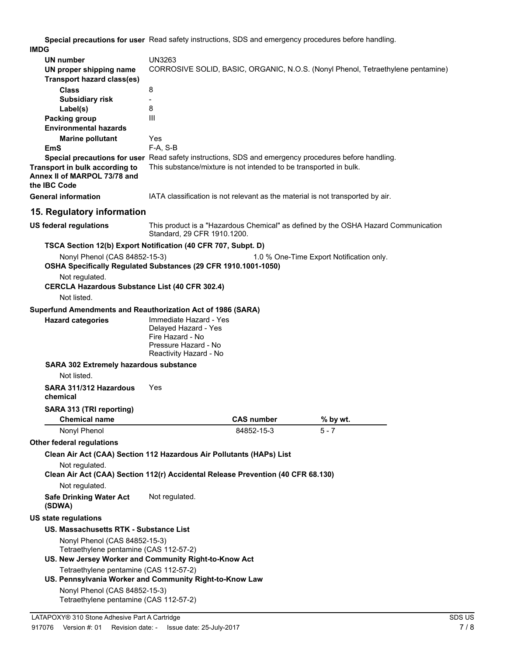**Special precautions for user** Read safety instructions, SDS and emergency procedures before handling. **IMDG**

| UN number<br>UN proper shipping name<br><b>Transport hazard class(es)</b>                          | UN3263<br>CORROSIVE SOLID, BASIC, ORGANIC, N.O.S. (Nonyl Phenol, Tetraethylene pentamine)                            |                   |                                                                                    |
|----------------------------------------------------------------------------------------------------|----------------------------------------------------------------------------------------------------------------------|-------------------|------------------------------------------------------------------------------------|
| <b>Class</b>                                                                                       | 8                                                                                                                    |                   |                                                                                    |
| <b>Subsidiary risk</b>                                                                             | $\blacksquare$                                                                                                       |                   |                                                                                    |
| Label(s)                                                                                           | 8                                                                                                                    |                   |                                                                                    |
| Packing group                                                                                      | III                                                                                                                  |                   |                                                                                    |
| <b>Environmental hazards</b>                                                                       |                                                                                                                      |                   |                                                                                    |
| <b>Marine pollutant</b><br>EmS                                                                     | Yes<br>$F-A, S-B$                                                                                                    |                   |                                                                                    |
|                                                                                                    | Special precautions for user Read safety instructions, SDS and emergency procedures before handling.                 |                   |                                                                                    |
| Transport in bulk according to<br>Annex II of MARPOL 73/78 and<br>the IBC Code                     | This substance/mixture is not intended to be transported in bulk.                                                    |                   |                                                                                    |
| <b>General information</b>                                                                         | IATA classification is not relevant as the material is not transported by air.                                       |                   |                                                                                    |
| 15. Regulatory information                                                                         |                                                                                                                      |                   |                                                                                    |
| <b>US federal regulations</b>                                                                      | Standard, 29 CFR 1910.1200.                                                                                          |                   | This product is a "Hazardous Chemical" as defined by the OSHA Hazard Communication |
| TSCA Section 12(b) Export Notification (40 CFR 707, Subpt. D)                                      |                                                                                                                      |                   |                                                                                    |
| Nonyl Phenol (CAS 84852-15-3)<br>OSHA Specifically Regulated Substances (29 CFR 1910.1001-1050)    |                                                                                                                      |                   | 1.0 % One-Time Export Notification only.                                           |
| Not regulated.                                                                                     |                                                                                                                      |                   |                                                                                    |
| <b>CERCLA Hazardous Substance List (40 CFR 302.4)</b><br>Not listed.                               |                                                                                                                      |                   |                                                                                    |
| Superfund Amendments and Reauthorization Act of 1986 (SARA)                                        |                                                                                                                      |                   |                                                                                    |
| <b>Hazard categories</b>                                                                           | Immediate Hazard - Yes<br>Delayed Hazard - Yes<br>Fire Hazard - No<br>Pressure Hazard - No<br>Reactivity Hazard - No |                   |                                                                                    |
| <b>SARA 302 Extremely hazardous substance</b>                                                      |                                                                                                                      |                   |                                                                                    |
| Not listed.                                                                                        |                                                                                                                      |                   |                                                                                    |
| SARA 311/312 Hazardous<br>chemical                                                                 | Yes                                                                                                                  |                   |                                                                                    |
| SARA 313 (TRI reporting)<br><b>Chemical name</b>                                                   |                                                                                                                      | <b>CAS number</b> | % by wt.                                                                           |
| Nonyl Phenol                                                                                       |                                                                                                                      | 84852-15-3        | 5 - 7                                                                              |
| <b>Other federal regulations</b>                                                                   |                                                                                                                      |                   |                                                                                    |
| Clean Air Act (CAA) Section 112 Hazardous Air Pollutants (HAPs) List                               |                                                                                                                      |                   |                                                                                    |
| Not regulated.<br>Clean Air Act (CAA) Section 112(r) Accidental Release Prevention (40 CFR 68.130) |                                                                                                                      |                   |                                                                                    |
| Not regulated.                                                                                     |                                                                                                                      |                   |                                                                                    |
| <b>Safe Drinking Water Act</b><br>(SDWA)                                                           | Not regulated.                                                                                                       |                   |                                                                                    |
| <b>US state regulations</b>                                                                        |                                                                                                                      |                   |                                                                                    |
| US. Massachusetts RTK - Substance List                                                             |                                                                                                                      |                   |                                                                                    |
| Nonyl Phenol (CAS 84852-15-3)                                                                      |                                                                                                                      |                   |                                                                                    |
| Tetraethylene pentamine (CAS 112-57-2)<br>US. New Jersey Worker and Community Right-to-Know Act    |                                                                                                                      |                   |                                                                                    |
| Tetraethylene pentamine (CAS 112-57-2)                                                             |                                                                                                                      |                   |                                                                                    |
| US. Pennsylvania Worker and Community Right-to-Know Law<br>Nonyl Phenol (CAS 84852-15-3)           |                                                                                                                      |                   |                                                                                    |
| Tetraethylene pentamine (CAS 112-57-2)                                                             |                                                                                                                      |                   |                                                                                    |